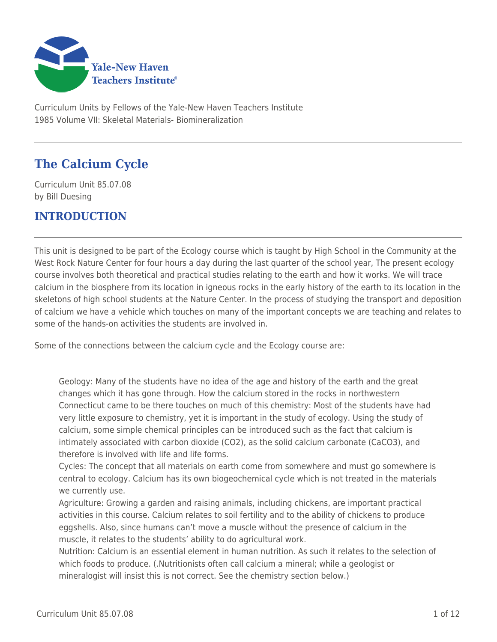

Curriculum Units by Fellows of the Yale-New Haven Teachers Institute 1985 Volume VII: Skeletal Materials- Biomineralization

# **The Calcium Cycle**

Curriculum Unit 85.07.08 by Bill Duesing

### **INTRODUCTION**

This unit is designed to be part of the Ecology course which is taught by High School in the Community at the West Rock Nature Center for four hours a day during the last quarter of the school year, The present ecology course involves both theoretical and practical studies relating to the earth and how it works. We will trace calcium in the biosphere from its location in igneous rocks in the early history of the earth to its location in the skeletons of high school students at the Nature Center. In the process of studying the transport and deposition of calcium we have a vehicle which touches on many of the important concepts we are teaching and relates to some of the hands-on activities the students are involved in.

Some of the connections between the calcium cycle and the Ecology course are:

Geology: Many of the students have no idea of the age and history of the earth and the great changes which it has gone through. How the calcium stored in the rocks in northwestern Connecticut came to be there touches on much of this chemistry: Most of the students have had very little exposure to chemistry, yet it is important in the study of ecology. Using the study of calcium, some simple chemical principles can be introduced such as the fact that calcium is intimately associated with carbon dioxide (CO2), as the solid calcium carbonate (CaCO3), and therefore is involved with life and life forms.

Cycles: The concept that all materials on earth come from somewhere and must go somewhere is central to ecology. Calcium has its own biogeochemical cycle which is not treated in the materials we currently use.

Agriculture: Growing a garden and raising animals, including chickens, are important practical activities in this course. Calcium relates to soil fertility and to the ability of chickens to produce eggshells. Also, since humans can't move a muscle without the presence of calcium in the muscle, it relates to the students' ability to do agricultural work.

Nutrition: Calcium is an essential element in human nutrition. As such it relates to the selection of which foods to produce. (.Nutritionists often call calcium a mineral; while a geologist or mineralogist will insist this is not correct. See the chemistry section below.)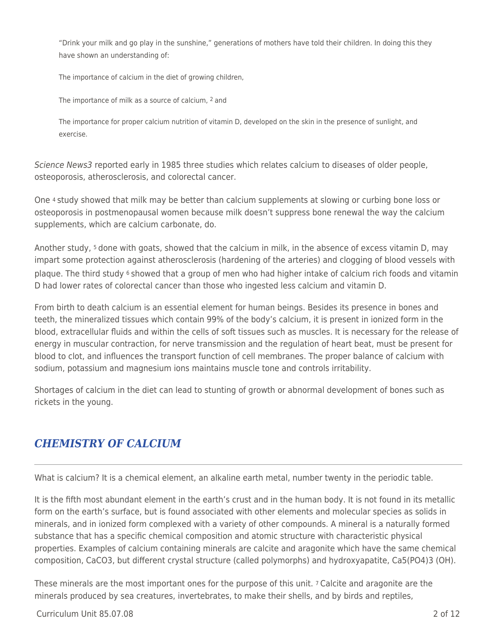"Drink your milk and go play in the sunshine," generations of mothers have told their children. In doing this they have shown an understanding of:

The importance of calcium in the diet of growing children,

The importance of milk as a source of calcium, 2 and

The importance for proper calcium nutrition of vitamin D, developed on the skin in the presence of sunlight, and exercise.

Science News3 reported early in 1985 three studies which relates calcium to diseases of older people, osteoporosis, atherosclerosis, and colorectal cancer.

One 4 study showed that milk may be better than calcium supplements at slowing or curbing bone loss or osteoporosis in postmenopausal women because milk doesn't suppress bone renewal the way the calcium supplements, which are calcium carbonate, do.

Another study, 5 done with goats, showed that the calcium in milk, in the absence of excess vitamin D, may impart some protection against atherosclerosis (hardening of the arteries) and clogging of blood vessels with plaque. The third study 6 showed that a group of men who had higher intake of calcium rich foods and vitamin D had lower rates of colorectal cancer than those who ingested less calcium and vitamin D.

From birth to death calcium is an essential element for human beings. Besides its presence in bones and teeth, the mineralized tissues which contain 99% of the body's calcium, it is present in ionized form in the blood, extracellular fluids and within the cells of soft tissues such as muscles. It is necessary for the release of energy in muscular contraction, for nerve transmission and the regulation of heart beat, must be present for blood to clot, and influences the transport function of cell membranes. The proper balance of calcium with sodium, potassium and magnesium ions maintains muscle tone and controls irritability.

Shortages of calcium in the diet can lead to stunting of growth or abnormal development of bones such as rickets in the young.

### *CHEMISTRY OF CALCIUM*

What is calcium? It is a chemical element, an alkaline earth metal, number twenty in the periodic table.

It is the fifth most abundant element in the earth's crust and in the human body. It is not found in its metallic form on the earth's surface, but is found associated with other elements and molecular species as solids in minerals, and in ionized form complexed with a variety of other compounds. A mineral is a naturally formed substance that has a specific chemical composition and atomic structure with characteristic physical properties. Examples of calcium containing minerals are calcite and aragonite which have the same chemical composition, CaCO3, but different crystal structure (called polymorphs) and hydroxyapatite, Ca5(PO4)3 (OH).

These minerals are the most important ones for the purpose of this unit. 7 Calcite and aragonite are the minerals produced by sea creatures, invertebrates, to make their shells, and by birds and reptiles,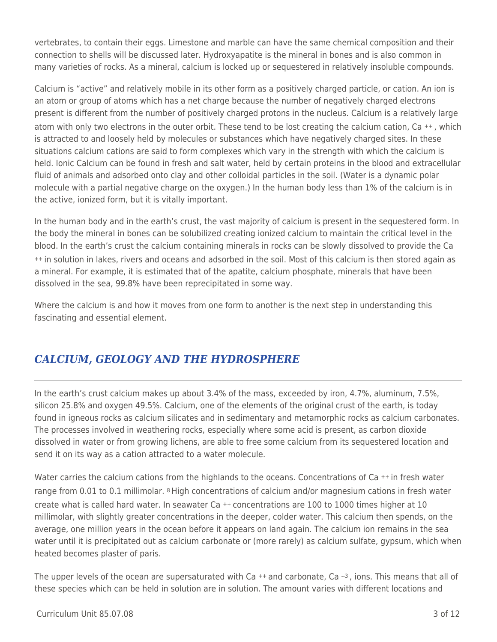vertebrates, to contain their eggs. Limestone and marble can have the same chemical composition and their connection to shells will be discussed later. Hydroxyapatite is the mineral in bones and is also common in many varieties of rocks. As a mineral, calcium is locked up or sequestered in relatively insoluble compounds.

Calcium is "active" and relatively mobile in its other form as a positively charged particle, or cation. An ion is an atom or group of atoms which has a net charge because the number of negatively charged electrons present is different from the number of positively charged protons in the nucleus. Calcium is a relatively large atom with only two electrons in the outer orbit. These tend to be lost creating the calcium cation, Ca<sup>++</sup>, which is attracted to and loosely held by molecules or substances which have negatively charged sites. In these situations calcium cations are said to form complexes which vary in the strength with which the calcium is held. Ionic Calcium can be found in fresh and salt water, held by certain proteins in the blood and extracellular fluid of animals and adsorbed onto clay and other colloidal particles in the soil. (Water is a dynamic polar molecule with a partial negative charge on the oxygen.) In the human body less than 1% of the calcium is in the active, ionized form, but it is vitally important.

In the human body and in the earth's crust, the vast majority of calcium is present in the sequestered form. In the body the mineral in bones can be solubilized creating ionized calcium to maintain the critical level in the blood. In the earth's crust the calcium containing minerals in rocks can be slowly dissolved to provide the Ca ++ in solution in lakes, rivers and oceans and adsorbed in the soil. Most of this calcium is then stored again as a mineral. For example, it is estimated that of the apatite, calcium phosphate, minerals that have been dissolved in the sea, 99.8% have been reprecipitated in some way.

Where the calcium is and how it moves from one form to another is the next step in understanding this fascinating and essential element.

# *CALCIUM, GEOLOGY AND THE HYDROSPHERE*

In the earth's crust calcium makes up about 3.4% of the mass, exceeded by iron, 4.7%, aluminum, 7.5%, silicon 25.8% and oxygen 49.5%. Calcium, one of the elements of the original crust of the earth, is today found in igneous rocks as calcium silicates and in sedimentary and metamorphic rocks as calcium carbonates. The processes involved in weathering rocks, especially where some acid is present, as carbon dioxide dissolved in water or from growing lichens, are able to free some calcium from its sequestered location and send it on its way as a cation attracted to a water molecule.

Water carries the calcium cations from the highlands to the oceans. Concentrations of Ca<sup>++</sup> in fresh water range from 0.01 to 0.1 millimolar. 8 High concentrations of calcium and/or magnesium cations in fresh water create what is called hard water. In seawater Ca ++ concentrations are 100 to 1000 times higher at 10 millimolar, with slightly greater concentrations in the deeper, colder water. This calcium then spends, on the average, one million years in the ocean before it appears on land again. The calcium ion remains in the sea water until it is precipitated out as calcium carbonate or (more rarely) as calcium sulfate, gypsum, which when heated becomes plaster of paris.

The upper levels of the ocean are supersaturated with Ca  $++$  and carbonate, Ca  $-3$ , ions. This means that all of these species which can be held in solution are in solution. The amount varies with different locations and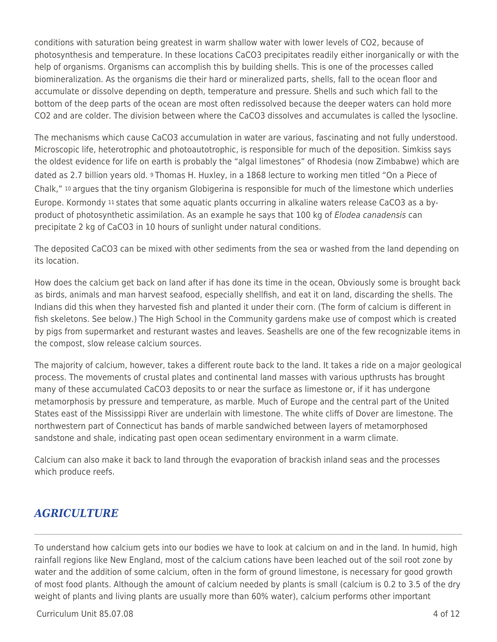conditions with saturation being greatest in warm shallow water with lower levels of CO2, because of photosynthesis and temperature. In these locations CaCO3 precipitates readily either inorganically or with the help of organisms. Organisms can accomplish this by building shells. This is one of the processes called biomineralization. As the organisms die their hard or mineralized parts, shells, fall to the ocean floor and accumulate or dissolve depending on depth, temperature and pressure. Shells and such which fall to the bottom of the deep parts of the ocean are most often redissolved because the deeper waters can hold more CO2 and are colder. The division between where the CaCO3 dissolves and accumulates is called the lysocline.

The mechanisms which cause CaCO3 accumulation in water are various, fascinating and not fully understood. Microscopic life, heterotrophic and photoautotrophic, is responsible for much of the deposition. Simkiss says the oldest evidence for life on earth is probably the "algal limestones" of Rhodesia (now Zimbabwe) which are dated as 2.7 billion years old. 9 Thomas H. Huxley, in a 1868 lecture to working men titled "On a Piece of Chalk," 10 argues that the tiny organism Globigerina is responsible for much of the limestone which underlies Europe. Kormondy 11 states that some aquatic plants occurring in alkaline waters release CaCO3 as a byproduct of photosynthetic assimilation. As an example he says that 100 kg of Elodea canadensis can precipitate 2 kg of CaCO3 in 10 hours of sunlight under natural conditions.

The deposited CaCO3 can be mixed with other sediments from the sea or washed from the land depending on its location.

How does the calcium get back on land after if has done its time in the ocean, Obviously some is brought back as birds, animals and man harvest seafood, especially shellfish, and eat it on land, discarding the shells. The Indians did this when they harvested fish and planted it under their corn. (The form of calcium is different in fish skeletons. See below.) The High School in the Community gardens make use of compost which is created by pigs from supermarket and resturant wastes and leaves. Seashells are one of the few recognizable items in the compost, slow release calcium sources.

The majority of calcium, however, takes a different route back to the land. It takes a ride on a major geological process. The movements of crustal plates and continental land masses with various upthrusts has brought many of these accumulated CaCO3 deposits to or near the surface as limestone or, if it has undergone metamorphosis by pressure and temperature, as marble. Much of Europe and the central part of the United States east of the Mississippi River are underlain with limestone. The white cliffs of Dover are limestone. The northwestern part of Connecticut has bands of marble sandwiched between layers of metamorphosed sandstone and shale, indicating past open ocean sedimentary environment in a warm climate.

Calcium can also make it back to land through the evaporation of brackish inland seas and the processes which produce reefs.

### *AGRICULTURE*

To understand how calcium gets into our bodies we have to look at calcium on and in the land. In humid, high rainfall regions like New England, most of the calcium cations have been leached out of the soil root zone by water and the addition of some calcium, often in the form of ground limestone, is necessary for good growth of most food plants. Although the amount of calcium needed by plants is small (calcium is 0.2 to 3.5 of the dry weight of plants and living plants are usually more than 60% water), calcium performs other important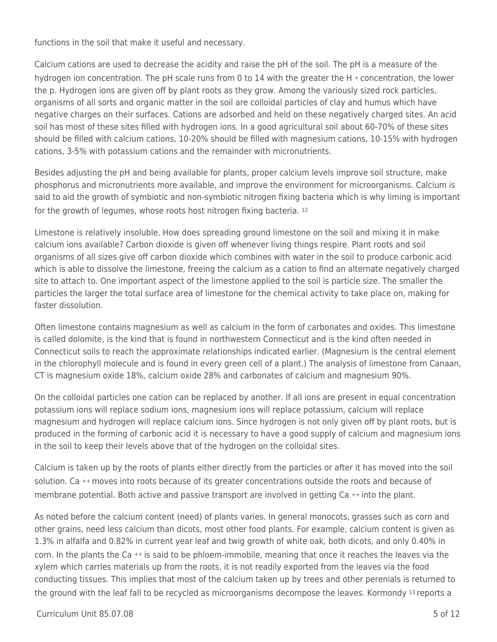functions in the soil that make it useful and necessary.

Calcium cations are used to decrease the acidity and raise the pH of the soil. The pH is a measure of the hydrogen ion concentration. The pH scale runs from 0 to 14 with the greater the H + concentration, the lower the p. Hydrogen ions are given off by plant roots as they grow. Among the variously sized rock particles, organisms of all sorts and organic matter in the soil are colloidal particles of clay and humus which have negative charges on their surfaces. Cations are adsorbed and held on these negatively charged sites. An acid soil has most of these sites filled with hydrogen ions. In a good agricultural soil about 60-70% of these sites should be filled with calcium cations, 10-20% should be filled with magnesium cations, 10-15% with hydrogen cations, 3-5% with potassium cations and the remainder with micronutrients.

Besides adjusting the pH and being available for plants, proper calcium levels improve soil structure, make phosphorus and micronutrients more available, and improve the environment for microorganisms. Calcium is said to aid the growth of symbiotic and non-symbiotic nitrogen fixing bacteria which is why liming is important for the growth of legumes, whose roots host nitrogen fixing bacteria. <sup>12</sup>

Limestone is relatively insoluble. How does spreading ground limestone on the soil and mixing it in make calcium ions available? Carbon dioxide is given off whenever living things respire. Plant roots and soil organisms of all sizes give off carbon dioxide which combines with water in the soil to produce carbonic acid which is able to dissolve the limestone, freeing the calcium as a cation to find an alternate negatively charged site to attach to. One important aspect of the limestone applied to the soil is particle size. The smaller the particles the larger the total surface area of limestone for the chemical activity to take place on, making for faster dissolution.

Often limestone contains magnesium as well as calcium in the form of carbonates and oxides. This limestone is called dolomite, is the kind that is found in northwestern Connecticut and is the kind often needed in Connecticut soils to reach the approximate relationships indicated earlier. (Magnesium is the central element in the chlorophyll molecule and is found in every green cell of a plant.) The analysis of limestone from Canaan, CT is magnesium oxide 18%, calcium oxide 28% and carbonates of calcium and magnesium 90%.

On the colloidal particles one cation can be replaced by another. If all ions are present in equal concentration potassium ions will replace sodium ions, magnesium ions will replace potassium, calcium will replace magnesium and hydrogen will replace calcium ions. Since hydrogen is not only given off by plant roots, but is produced in the forming of carbonic acid it is necessary to have a good supply of calcium and magnesium ions in the soil to keep their levels above that of the hydrogen on the colloidal sites.

Calcium is taken up by the roots of plants either directly from the particles or after it has moved into the soil solution. Ca ++ moves into roots because of its greater concentrations outside the roots and because of membrane potential. Both active and passive transport are involved in getting Ca ++ into the plant.

As noted before the calcium content (need) of plants varies. In general monocots, grasses such as corn and other grains, need less calcium than dicots, most other food plants. For example, calcium content is given as 1.3% in alfalfa and 0.82% in current year leaf and twig growth of white oak, both dicots, and only 0.40% in corn. In the plants the Ca ++ is said to be phloem-immobile, meaning that once it reaches the leaves via the xylem which carries materials up from the roots, it is not readily exported from the leaves via the food conducting tissues. This implies that most of the calcium taken up by trees and other perenials is returned to the ground with the leaf fall to be recycled as microorganisms decompose the leaves. Kormondy 13 reports a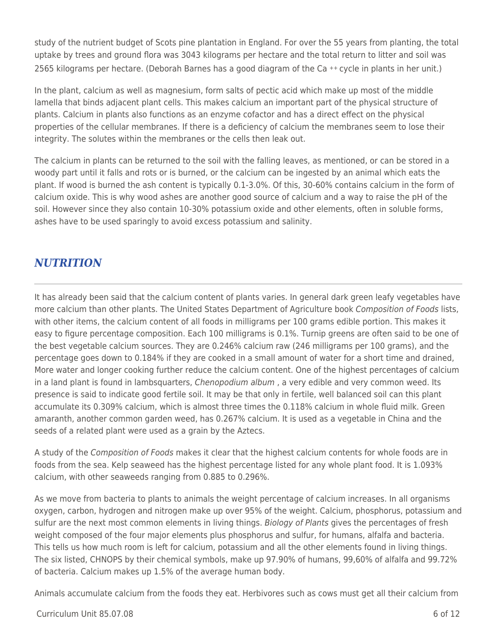study of the nutrient budget of Scots pine plantation in England. For over the 55 years from planting, the total uptake by trees and ground flora was 3043 kilograms per hectare and the total return to litter and soil was 2565 kilograms per hectare. (Deborah Barnes has a good diagram of the Ca ++ cycle in plants in her unit.)

In the plant, calcium as well as magnesium, form salts of pectic acid which make up most of the middle lamella that binds adjacent plant cells. This makes calcium an important part of the physical structure of plants. Calcium in plants also functions as an enzyme cofactor and has a direct effect on the physical properties of the cellular membranes. If there is a deficiency of calcium the membranes seem to lose their integrity. The solutes within the membranes or the cells then leak out.

The calcium in plants can be returned to the soil with the falling leaves, as mentioned, or can be stored in a woody part until it falls and rots or is burned, or the calcium can be ingested by an animal which eats the plant. If wood is burned the ash content is typically 0.1-3.0%. Of this, 30-60% contains calcium in the form of calcium oxide. This is why wood ashes are another good source of calcium and a way to raise the pH of the soil. However since they also contain 10-30% potassium oxide and other elements, often in soluble forms, ashes have to be used sparingly to avoid excess potassium and salinity.

## *NUTRITION*

It has already been said that the calcium content of plants varies. In general dark green leafy vegetables have more calcium than other plants. The United States Department of Agriculture book Composition of Foods lists, with other items, the calcium content of all foods in milligrams per 100 grams edible portion. This makes it easy to figure percentage composition. Each 100 milligrams is 0.1%. Turnip greens are often said to be one of the best vegetable calcium sources. They are 0.246% calcium raw (246 milligrams per 100 grams), and the percentage goes down to 0.184% if they are cooked in a small amount of water for a short time and drained, More water and longer cooking further reduce the calcium content. One of the highest percentages of calcium in a land plant is found in lambsquarters, *Chenopodium album*, a very edible and very common weed. Its presence is said to indicate good fertile soil. It may be that only in fertile, well balanced soil can this plant accumulate its 0.309% calcium, which is almost three times the 0.118% calcium in whole fluid milk. Green amaranth, another common garden weed, has 0.267% calcium. It is used as a vegetable in China and the seeds of a related plant were used as a grain by the Aztecs.

A study of the Composition of Foods makes it clear that the highest calcium contents for whole foods are in foods from the sea. Kelp seaweed has the highest percentage listed for any whole plant food. It is 1.093% calcium, with other seaweeds ranging from 0.885 to 0.296%.

As we move from bacteria to plants to animals the weight percentage of calcium increases. In all organisms oxygen, carbon, hydrogen and nitrogen make up over 95% of the weight. Calcium, phosphorus, potassium and sulfur are the next most common elements in living things. Biology of Plants gives the percentages of fresh weight composed of the four major elements plus phosphorus and sulfur, for humans, alfalfa and bacteria. This tells us how much room is left for calcium, potassium and all the other elements found in living things. The six listed, CHNOPS by their chemical symbols, make up 97.90% of humans, 99,60% of alfalfa and 99.72% of bacteria. Calcium makes up 1.5% of the average human body.

Animals accumulate calcium from the foods they eat. Herbivores such as cows must get all their calcium from

#### $C$ urriculum Unit 85.07.08 6 of 12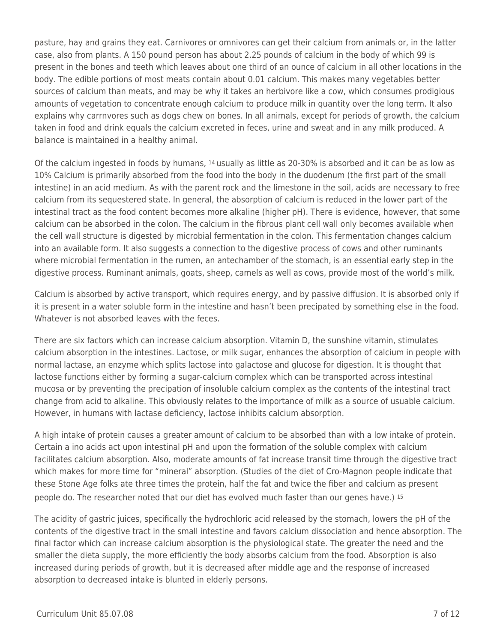pasture, hay and grains they eat. Carnivores or omnivores can get their calcium from animals or, in the latter case, also from plants. A 150 pound person has about 2.25 pounds of calcium in the body of which 99 is present in the bones and teeth which leaves about one third of an ounce of calcium in all other locations in the body. The edible portions of most meats contain about 0.01 calcium. This makes many vegetables better sources of calcium than meats, and may be why it takes an herbivore like a cow, which consumes prodigious amounts of vegetation to concentrate enough calcium to produce milk in quantity over the long term. It also explains why carrnvores such as dogs chew on bones. In all animals, except for periods of growth, the calcium taken in food and drink equals the calcium excreted in feces, urine and sweat and in any milk produced. A balance is maintained in a healthy animal.

Of the calcium ingested in foods by humans, 14 usually as little as 20-30% is absorbed and it can be as low as 10% Calcium is primarily absorbed from the food into the body in the duodenum (the first part of the small intestine) in an acid medium. As with the parent rock and the limestone in the soil, acids are necessary to free calcium from its sequestered state. In general, the absorption of calcium is reduced in the lower part of the intestinal tract as the food content becomes more alkaline (higher pH). There is evidence, however, that some calcium can be absorbed in the colon. The calcium in the fibrous plant cell wall only becomes available when the cell wall structure is digested by microbial fermentation in the colon. This fermentation changes calcium into an available form. It also suggests a connection to the digestive process of cows and other ruminants where microbial fermentation in the rumen, an antechamber of the stomach, is an essential early step in the digestive process. Ruminant animals, goats, sheep, camels as well as cows, provide most of the world's milk.

Calcium is absorbed by active transport, which requires energy, and by passive diffusion. It is absorbed only if it is present in a water soluble form in the intestine and hasn't been precipated by something else in the food. Whatever is not absorbed leaves with the feces.

There are six factors which can increase calcium absorption. Vitamin D, the sunshine vitamin, stimulates calcium absorption in the intestines. Lactose, or milk sugar, enhances the absorption of calcium in people with normal lactase, an enzyme which splits lactose into galactose and glucose for digestion. It is thought that lactose functions either by forming a sugar-calcium complex which can be transported across intestinal mucosa or by preventing the precipation of insoluble calcium complex as the contents of the intestinal tract change from acid to alkaline. This obviously relates to the importance of milk as a source of usuable calcium. However, in humans with lactase deficiency, lactose inhibits calcium absorption.

A high intake of protein causes a greater amount of calcium to be absorbed than with a low intake of protein. Certain a ino acids act upon intestinal pH and upon the formation of the soluble complex with calcium facilitates calcium absorption. Also, moderate amounts of fat increase transit time through the digestive tract which makes for more time for "mineral" absorption. (Studies of the diet of Cro-Magnon people indicate that these Stone Age folks ate three times the protein, half the fat and twice the fiber and calcium as present people do. The researcher noted that our diet has evolved much faster than our genes have.) <sup>15</sup>

The acidity of gastric juices, specifically the hydrochloric acid released by the stomach, lowers the pH of the contents of the digestive tract in the small intestine and favors calcium dissociation and hence absorption. The final factor which can increase calcium absorption is the physiological state. The greater the need and the smaller the dieta supply, the more efficiently the body absorbs calcium from the food. Absorption is also increased during periods of growth, but it is decreased after middle age and the response of increased absorption to decreased intake is blunted in elderly persons.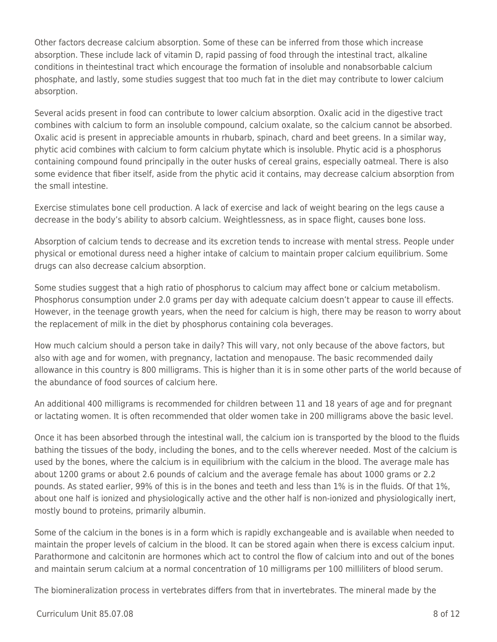Other factors decrease calcium absorption. Some of these can be inferred from those which increase absorption. These include lack of vitamin D, rapid passing of food through the intestinal tract, alkaline conditions in theintestinal tract which encourage the formation of insoluble and nonabsorbable calcium phosphate, and lastly, some studies suggest that too much fat in the diet may contribute to lower calcium absorption.

Several acids present in food can contribute to lower calcium absorption. Oxalic acid in the digestive tract combines with calcium to form an insoluble compound, calcium oxalate, so the calcium cannot be absorbed. Oxalic acid is present in appreciable amounts in rhubarb, spinach, chard and beet greens. In a similar way, phytic acid combines with calcium to form calcium phytate which is insoluble. Phytic acid is a phosphorus containing compound found principally in the outer husks of cereal grains, especially oatmeal. There is also some evidence that fiber itself, aside from the phytic acid it contains, may decrease calcium absorption from the small intestine.

Exercise stimulates bone cell production. A lack of exercise and lack of weight bearing on the legs cause a decrease in the body's ability to absorb calcium. Weightlessness, as in space flight, causes bone loss.

Absorption of calcium tends to decrease and its excretion tends to increase with mental stress. People under physical or emotional duress need a higher intake of calcium to maintain proper calcium equilibrium. Some drugs can also decrease calcium absorption.

Some studies suggest that a high ratio of phosphorus to calcium may affect bone or calcium metabolism. Phosphorus consumption under 2.0 grams per day with adequate calcium doesn't appear to cause ill effects. However, in the teenage growth years, when the need for calcium is high, there may be reason to worry about the replacement of milk in the diet by phosphorus containing cola beverages.

How much calcium should a person take in daily? This will vary, not only because of the above factors, but also with age and for women, with pregnancy, lactation and menopause. The basic recommended daily allowance in this country is 800 milligrams. This is higher than it is in some other parts of the world because of the abundance of food sources of calcium here.

An additional 400 milligrams is recommended for children between 11 and 18 years of age and for pregnant or lactating women. It is often recommended that older women take in 200 milligrams above the basic level.

Once it has been absorbed through the intestinal wall, the calcium ion is transported by the blood to the fluids bathing the tissues of the body, including the bones, and to the cells wherever needed. Most of the calcium is used by the bones, where the calcium is in equilibrium with the calcium in the blood. The average male has about 1200 grams or about 2.6 pounds of calcium and the average female has about 1000 grams or 2.2 pounds. As stated earlier, 99% of this is in the bones and teeth and less than 1% is in the fluids. Of that 1%, about one half is ionized and physiologically active and the other half is non-ionized and physiologically inert, mostly bound to proteins, primarily albumin.

Some of the calcium in the bones is in a form which is rapidly exchangeable and is available when needed to maintain the proper levels of calcium in the blood. It can be stored again when there is excess calcium input. Parathormone and calcitonin are hormones which act to control the flow of calcium into and out of the bones and maintain serum calcium at a normal concentration of 10 milligrams per 100 milliliters of blood serum.

The biomineralization process in vertebrates differs from that in invertebrates. The mineral made by the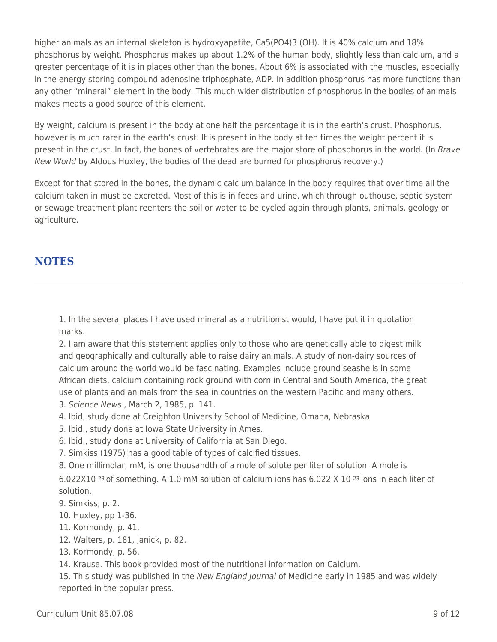higher animals as an internal skeleton is hydroxyapatite, Ca5(PO4)3 (OH). It is 40% calcium and 18% phosphorus by weight. Phosphorus makes up about 1.2% of the human body, slightly less than calcium, and a greater percentage of it is in places other than the bones. About 6% is associated with the muscles, especially in the energy storing compound adenosine triphosphate, ADP. In addition phosphorus has more functions than any other "mineral" element in the body. This much wider distribution of phosphorus in the bodies of animals makes meats a good source of this element.

By weight, calcium is present in the body at one half the percentage it is in the earth's crust. Phosphorus, however is much rarer in the earth's crust. It is present in the body at ten times the weight percent it is present in the crust. In fact, the bones of vertebrates are the major store of phosphorus in the world. (In Brave New World by Aldous Huxley, the bodies of the dead are burned for phosphorus recovery.)

Except for that stored in the bones, the dynamic calcium balance in the body requires that over time all the calcium taken in must be excreted. Most of this is in feces and urine, which through outhouse, septic system or sewage treatment plant reenters the soil or water to be cycled again through plants, animals, geology or agriculture.

### **NOTES**

1. In the several places I have used mineral as a nutritionist would, I have put it in quotation marks.

2. I am aware that this statement applies only to those who are genetically able to digest milk and geographically and culturally able to raise dairy animals. A study of non-dairy sources of calcium around the world would be fascinating. Examples include ground seashells in some African diets, calcium containing rock ground with corn in Central and South America, the great use of plants and animals from the sea in countries on the western Pacific and many others.

- 3. Science News , March 2, 1985, p. 141.
- 4. Ibid, study done at Creighton University School of Medicine, Omaha, Nebraska
- 5. Ibid., study done at Iowa State University in Ames.
- 6. Ibid., study done at University of California at San Diego.
- 7. Simkiss (1975) has a good table of types of calcified tissues.
- 8. One millimolar, mM, is one thousandth of a mole of solute per liter of solution. A mole is

6.022X10 23 of something. A 1.0 mM solution of calcium ions has 6.022 X 10 23 ions in each liter of solution.

- 9. Simkiss, p. 2.
- 10. Huxley, pp 1-36.
- 11. Kormondy, p. 41.
- 12. Walters, p. 181, Janick, p. 82.
- 13. Kormondy, p. 56.

14. Krause. This book provided most of the nutritional information on Calcium.

15. This study was published in the New England Journal of Medicine early in 1985 and was widely reported in the popular press.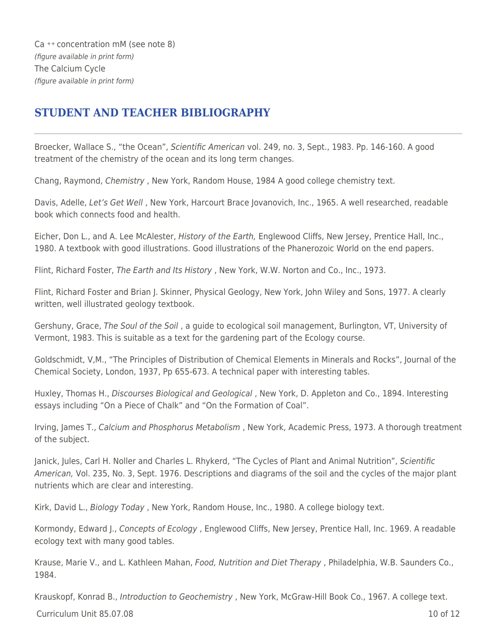Ca ++ concentration mM (see note 8) (figure available in print form) The Calcium Cycle (figure available in print form)

## **STUDENT AND TEACHER BIBLIOGRAPHY**

Broecker, Wallace S., "the Ocean", Scientific American vol. 249, no. 3, Sept., 1983. Pp. 146-160. A good treatment of the chemistry of the ocean and its long term changes.

Chang, Raymond, Chemistry , New York, Random House, 1984 A good college chemistry text.

Davis, Adelle, Let's Get Well , New York, Harcourt Brace Jovanovich, Inc., 1965. A well researched, readable book which connects food and health.

Eicher, Don L., and A. Lee McAlester, History of the Earth, Englewood Cliffs, New Jersey, Prentice Hall, Inc., 1980. A textbook with good illustrations. Good illustrations of the Phanerozoic World on the end papers.

Flint, Richard Foster, The Earth and Its History , New York, W.W. Norton and Co., Inc., 1973.

Flint, Richard Foster and Brian J. Skinner, Physical Geology, New York, John Wiley and Sons, 1977. A clearly written, well illustrated geology textbook.

Gershuny, Grace, The Soul of the Soil , a guide to ecological soil management, Burlington, VT, University of Vermont, 1983. This is suitable as a text for the gardening part of the Ecology course.

Goldschmidt, V,M., "The Principles of Distribution of Chemical Elements in Minerals and Rocks", Journal of the Chemical Society, London, 1937, Pp 655-673. A technical paper with interesting tables.

Huxley, Thomas H., Discourses Biological and Geological , New York, D. Appleton and Co., 1894. Interesting essays including "On a Piece of Chalk" and "On the Formation of Coal".

Irving, James T., Calcium and Phosphorus Metabolism , New York, Academic Press, 1973. A thorough treatment of the subject.

Janick, Jules, Carl H. Noller and Charles L. Rhykerd, "The Cycles of Plant and Animal Nutrition", Scientific American, Vol. 235, No. 3, Sept. 1976. Descriptions and diagrams of the soil and the cycles of the major plant nutrients which are clear and interesting.

Kirk, David L., Biology Today , New York, Random House, Inc., 1980. A college biology text.

Kormondy, Edward J., Concepts of Ecology, Englewood Cliffs, New Jersey, Prentice Hall, Inc. 1969. A readable ecology text with many good tables.

Krause, Marie V., and L. Kathleen Mahan, Food, Nutrition and Diet Therapy, Philadelphia, W.B. Saunders Co., 1984.

Krauskopf, Konrad B., Introduction to Geochemistry, New York, McGraw-Hill Book Co., 1967. A college text.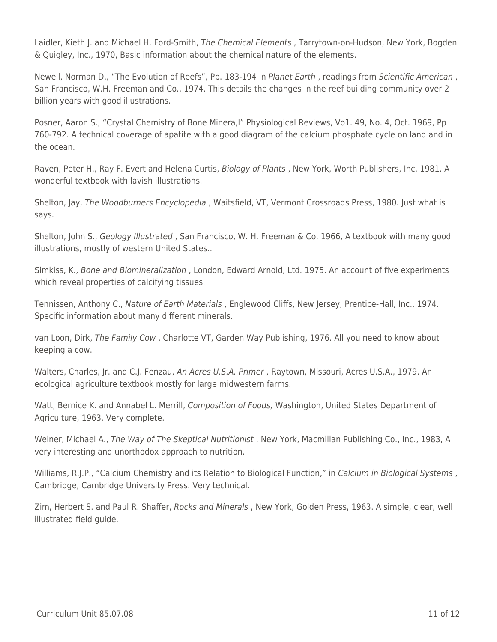Laidler, Kieth J. and Michael H. Ford-Smith, The Chemical Elements, Tarrytown-on-Hudson, New York, Bogden & Quigley, Inc., 1970, Basic information about the chemical nature of the elements.

Newell, Norman D., "The Evolution of Reefs", Pp. 183-194 in Planet Earth , readings from Scientific American , San Francisco, W.H. Freeman and Co., 1974. This details the changes in the reef building community over 2 billion years with good illustrations.

Posner, Aaron S., "Crystal Chemistry of Bone Minera,l" Physiological Reviews, Vo1. 49, No. 4, Oct. 1969, Pp 760-792. A technical coverage of apatite with a good diagram of the calcium phosphate cycle on land and in the ocean.

Raven, Peter H., Ray F. Evert and Helena Curtis, Biology of Plants , New York, Worth Publishers, Inc. 1981. A wonderful textbook with lavish illustrations.

Shelton, Jay, The Woodburners Encyclopedia , Waitsfield, VT, Vermont Crossroads Press, 1980. Just what is says.

Shelton, John S., Geology Illustrated , San Francisco, W. H. Freeman & Co. 1966, A textbook with many good illustrations, mostly of western United States..

Simkiss, K., Bone and Biomineralization , London, Edward Arnold, Ltd. 1975. An account of five experiments which reveal properties of calcifying tissues.

Tennissen, Anthony C., Nature of Earth Materials , Englewood Cliffs, New Jersey, Prentice-Hall, Inc., 1974. Specific information about many different minerals.

van Loon, Dirk, The Family Cow , Charlotte VT, Garden Way Publishing, 1976. All you need to know about keeping a cow.

Walters, Charles, Jr. and C.J. Fenzau, An Acres U.S.A. Primer, Raytown, Missouri, Acres U.S.A., 1979. An ecological agriculture textbook mostly for large midwestern farms.

Watt, Bernice K. and Annabel L. Merrill, Composition of Foods, Washington, United States Department of Agriculture, 1963. Very complete.

Weiner, Michael A., The Way of The Skeptical Nutritionist , New York, Macmillan Publishing Co., Inc., 1983, A very interesting and unorthodox approach to nutrition.

Williams, R.J.P., "Calcium Chemistry and its Relation to Biological Function," in Calcium in Biological Systems , Cambridge, Cambridge University Press. Very technical.

Zim, Herbert S. and Paul R. Shaffer, Rocks and Minerals , New York, Golden Press, 1963. A simple, clear, well illustrated field guide.